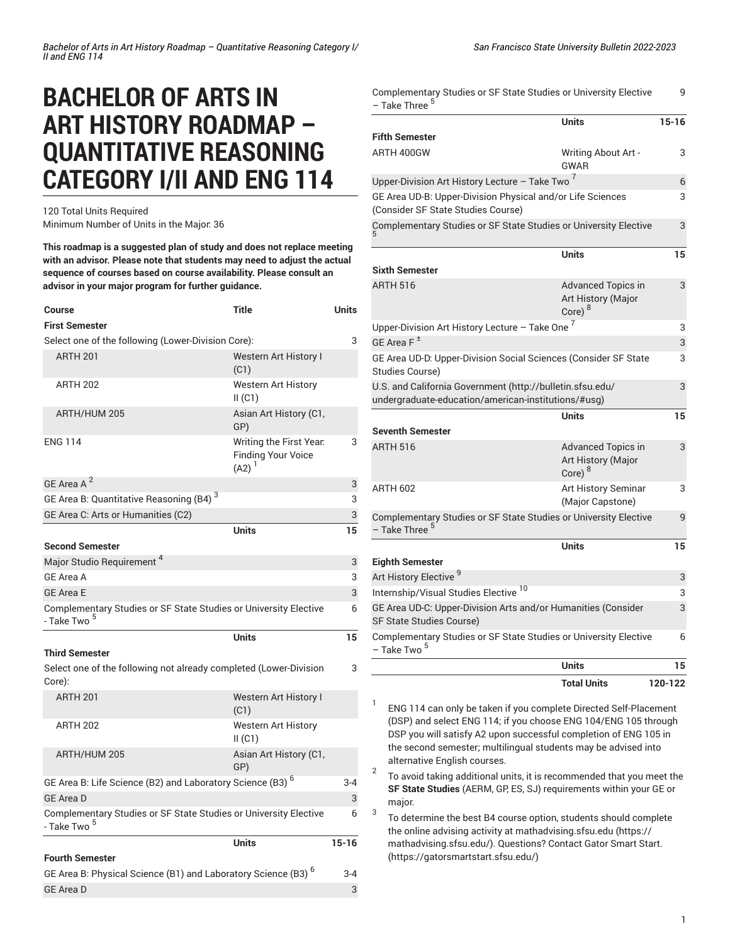# **BACHELOR OF ARTS IN ART HISTORY ROADMAP – QUANTITATIVE REASONING CATEGORY I/II AND ENG 114**

120 Total Units Required Minimum Number of Units in the Major: 36

**This roadmap is a suggested plan of study and does not replace meeting with an advisor. Please note that students may need to adjust the actual sequence of courses based on course availability. Please consult an advisor in your major program for further guidance.**

| <b>Course</b>                                                                                        | Title                                                              | Units     |
|------------------------------------------------------------------------------------------------------|--------------------------------------------------------------------|-----------|
| <b>First Semester</b>                                                                                |                                                                    |           |
| Select one of the following (Lower-Division Core):                                                   |                                                                    | 3         |
| <b>ARTH 201</b>                                                                                      | <b>Western Art History I</b><br>(C1)                               |           |
| <b>ARTH 202</b>                                                                                      | <b>Western Art History</b><br>II(C1)                               |           |
| ARTH/HUM 205                                                                                         | Asian Art History (C1,<br>GP)                                      |           |
| <b>ENG 114</b>                                                                                       | Writing the First Year.<br><b>Finding Your Voice</b><br>$(A2)^{1}$ | 3         |
| GE Area A <sup>2</sup>                                                                               |                                                                    | 3         |
| GE Area B: Quantitative Reasoning (B4) <sup>3</sup>                                                  |                                                                    | 3         |
| GE Area C: Arts or Humanities (C2)                                                                   |                                                                    | 3         |
|                                                                                                      | Units                                                              | 15        |
| <b>Second Semester</b>                                                                               |                                                                    |           |
| Major Studio Requirement <sup>4</sup>                                                                |                                                                    | 3         |
| <b>GE Area A</b>                                                                                     |                                                                    | 3         |
| <b>GE Area E</b>                                                                                     |                                                                    | 3         |
| Complementary Studies or SF State Studies or University Elective<br>- Take Two <sup>5</sup>          |                                                                    | 6         |
|                                                                                                      | <b>Units</b>                                                       | 15        |
| <b>Third Semester</b><br>Select one of the following not already completed (Lower-Division<br>Core): |                                                                    | 3         |
| <b>ARTH 201</b>                                                                                      | Western Art History I<br>(C1)                                      |           |
| <b>ARTH 202</b>                                                                                      | Western Art History<br>II(C1)                                      |           |
| ARTH/HUM 205                                                                                         | Asian Art History (C1,<br>GP)                                      |           |
| GE Area B: Life Science (B2) and Laboratory Science (B3) <sup>6</sup>                                |                                                                    | $3 - 4$   |
| <b>GE Area D</b>                                                                                     |                                                                    | 3         |
| Complementary Studies or SF State Studies or University Elective<br>- Take Two <sup>5</sup>          |                                                                    | 6         |
|                                                                                                      | Units                                                              | $15 - 16$ |
| <b>Fourth Semester</b>                                                                               |                                                                    |           |
| GE Area B: Physical Science (B1) and Laboratory Science (B3) <sup>6</sup>                            |                                                                    |           |
| <b>GE Area D</b>                                                                                     |                                                                    | 3         |
|                                                                                                      |                                                                    |           |

| <b>Total Units</b>                                                                            | 120-122 |
|-----------------------------------------------------------------------------------------------|---------|
| <b>Units</b>                                                                                  | 15      |
| Complementary Studies or SF State Studies or University Elective<br>– Take Two <sup>5</sup>   | 6       |
| GE Area UD-C: Upper-Division Arts and/or Humanities (Consider<br>SF State Studies Course)     | 3       |
| Internship/Visual Studies Elective <sup>10</sup>                                              | 3       |
| Art History Elective <sup>9</sup>                                                             | 3       |
| <b>Eighth Semester</b>                                                                        |         |
| <b>Units</b>                                                                                  | 15      |
| Complementary Studies or SF State Studies or University Elective<br>- Take Three <sup>5</sup> | 9       |
| <b>Art History Seminar</b><br><b>ARTH 602</b><br>(Major Capstone)                             | 3       |
| <b>ARTH 516</b><br><b>Advanced Topics in</b><br>Art History (Major<br>Core) <sup>8</sup>      | 3       |
| <b>Units</b><br><b>Seventh Semester</b>                                                       | 15      |
| undergraduate-education/american-institutions/#usg)                                           |         |
| <b>Studies Course)</b><br>U.S. and California Government (http://bulletin.sfsu.edu/           | 3       |
| GE Area UD-D: Upper-Division Social Sciences (Consider SF State                               | 3<br>3  |
| Upper-Division Art History Lecture - Take One <sup>7</sup><br>GE Area $F^{\pm}$               | 3       |
| <b>ARTH 516</b><br><b>Advanced Topics in</b><br>Art History (Major<br>Core) $8$               | 3       |
| <b>Sixth Semester</b>                                                                         |         |
| <b>Units</b>                                                                                  | 15      |
| Complementary Studies or SF State Studies or University Elective                              |         |
| (Consider SF State Studies Course)                                                            |         |
| GE Area UD-B: Upper-Division Physical and/or Life Sciences                                    | 3       |
| <b>GWAR</b><br>Upper-Division Art History Lecture - Take Two $^7$                             | 6       |
| <b>Fifth Semester</b><br>ARTH 400GW<br>Writing About Art -                                    | 3       |
| <b>Units</b>                                                                                  | $15-16$ |
| - Take Three                                                                                  |         |
| Complementary Studies or SF State Studies or University Elective                              |         |

1 ENG 114 can only be taken if you complete Directed Self-Placement (DSP) and select ENG 114; if you choose ENG 104/ENG 105 through DSP you will satisfy A2 upon successful completion of ENG 105 in the second semester; multilingual students may be advised into alternative English courses.

2 To avoid taking additional units, it is recommended that you meet the **SF State Studies** (AERM, GP, ES, SJ) requirements within your GE or major.

3 To determine the best B4 course option, students should complete the online advising activity at [mathadvising.sfsu.edu \(https://](https://mathadvising.sfsu.edu/) [mathadvising.sfsu.edu/](https://mathadvising.sfsu.edu/)). Questions? Contact Gator [Smart](https://gatorsmartstart.sfsu.edu/) Start. [\(https://gatorsmartstart.sfsu.edu/](https://gatorsmartstart.sfsu.edu/))